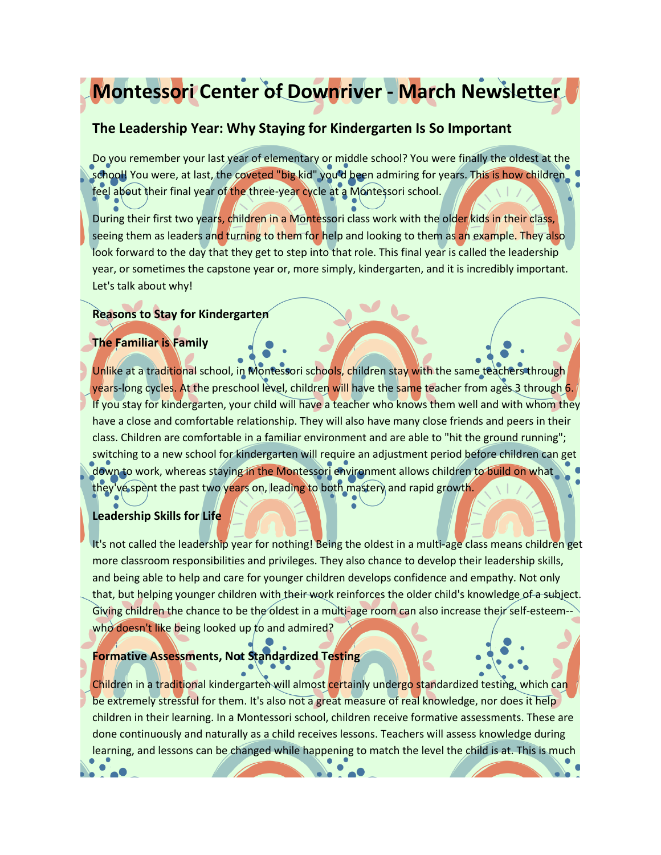# **Montessori Center of Downriver - March Newsletter**

# **The Leadership Year: Why Staying for Kindergarten Is So Important**

Do you remember your last year of elementary or middle school? You were finally the oldest at the school! You were, at last, the coveted "big kid" you'd been admiring for years. This is how children feel about their final year of the three-year cycle at a Montessori school.

During their first two years, children in a Montessori class work with the older kids in their class, seeing them as leaders and turning to them for help and looking to them as an example. They also look forward to the day that they get to step into that role. This final year is called the leadership year, or sometimes the capstone year or, more simply, kindergarten, and it is incredibly important. Let's talk about why!

## **Reasons to Stay for Kindergarten**

## **The Familiar is Family**

Unlike at a traditional school, in Montessori schools, children stay with the same teachers through years-long cycles. At the preschool level, children will have the same teacher from ages 3 through 6. If you stay for kindergarten, your child will have a teacher who knows them well and with whom they have a close and comfortable relationship. They will also have many close friends and peers in their class. Children are comfortable in a familiar environment and are able to "hit the ground running"; switching to a new school for kindergarten will require an adjustment period before children can get down to work, whereas staying in the Montessori environment allows children to build on what they've spent the past two years on, leading to both mastery and rapid growth.

## **Leadership Skills for Life**

It's not called the leadership year for nothing! Being the oldest in a multi-age class means children get more classroom responsibilities and privileges. They also chance to develop their leadership skills, and being able to help and care for younger children develops confidence and empathy. Not only that, but helping younger children with their work reinforces the older child's knowledge of a subject. Giving children the chance to be the oldest in a multi-age room can also increase their self-esteemwho doesn't like being looked up to and admired?

## **Formative Assessments, Not Standardized Testing**

Children in a traditional kindergarten will almost certainly undergo standardized testing, which can be extremely stressful for them. It's also not a great measure of real knowledge, nor does it help children in their learning. In a Montessori school, children receive formative assessments. These are done continuously and naturally as a child receives lessons. Teachers will assess knowledge during learning, and lessons can be changed while happening to match the level the child is at. This is much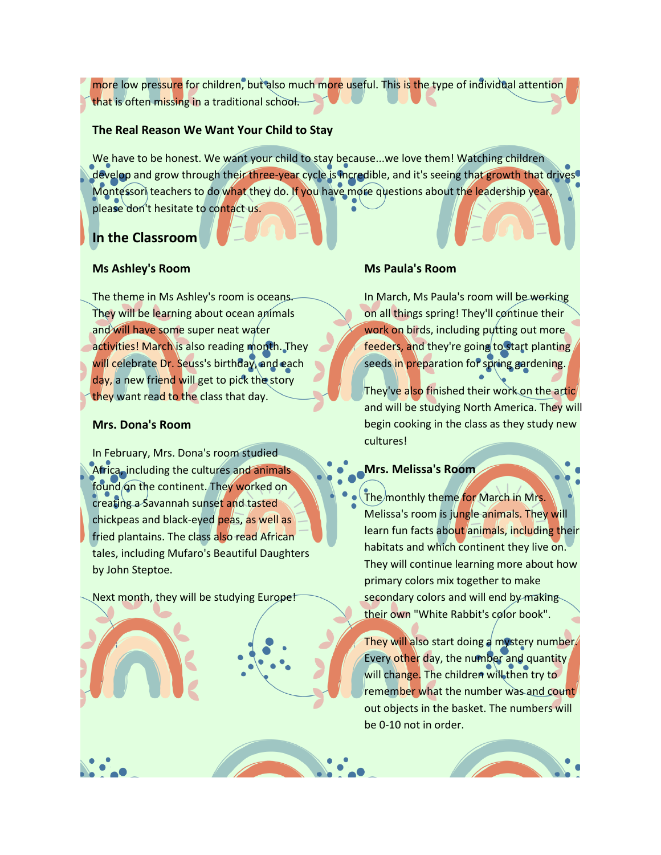more low pressure for children, but also much more useful. This is the type of individual attention that is often missing in a traditional school.

### **The Real Reason We Want Your Child to Stay**

We have to be honest. We want your child to stay because...we love them! Watching children develop and grow through their three-year cycle is incredible, and it's seeing that growth that drives Montessori teachers to do what they do. If you have more questions about the leadership year, please don't hesitate to contact us.

# **In the Classroom**

#### **Ms Ashley's Room**

The theme in Ms Ashley's room is oceans. They will be learning about ocean animals and will have some super neat water activities! March is also reading month. They will celebrate Dr. Seuss's birthday, and each day, a new friend will get to pick the story they want read to the class that day.

## **Mrs. Dona's Room**

In February, Mrs. Dona's room studied Africa, including the cultures and animals found on the continent. They worked on creating a Savannah sunset and tasted chickpeas and black-eyed peas, as well as fried plantains. The class also read African tales, including Mufaro's Beautiful Daughters by John Steptoe.

Next month, they will be studying Europe!

#### **Ms Paula's Room**

In March, Ms Paula's room will be working on all things spring! They'll continue their work on birds, including putting out more feeders, and they're going to start planting seeds in preparation for spring gardening.

They've also finished their work on the artic and will be studying North America. They will begin cooking in the class as they study new cultures!

#### **Mrs. Melissa's Room**

The monthly theme for March in Mrs. Melissa's room is jungle animals. They will learn fun facts about animals, including their habitats and which continent they live on. They will continue learning more about how primary colors mix together to make secondary colors and will end by making their own "White Rabbit's color book".

They will also start doing a mystery number. Every other day, the number and quantity will change. The children will then try to remember what the number was and count out objects in the basket. The numbers will be 0-10 not in order.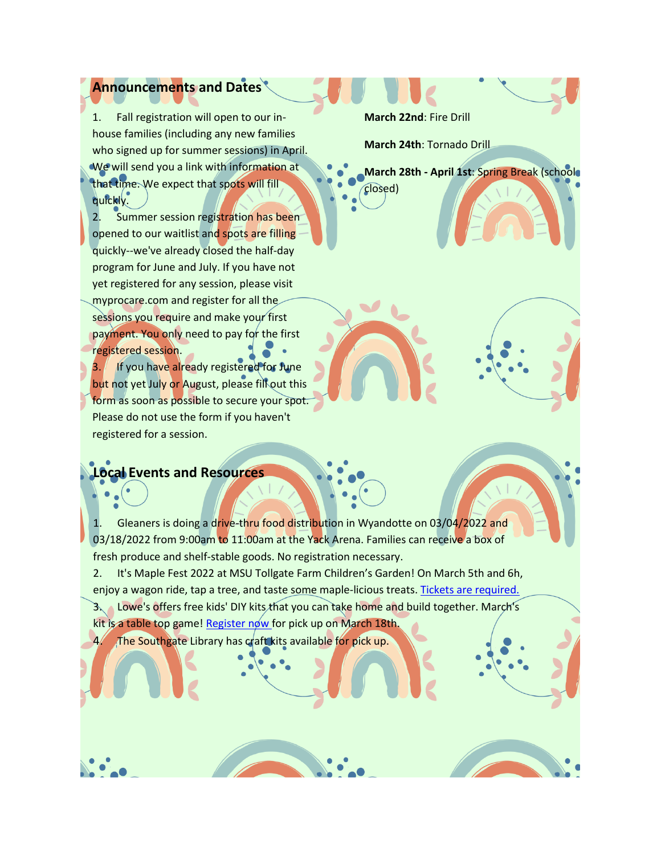# **Announcements and Dates**

1. Fall registration will open to our inhouse families (including any new families who signed up for summer sessions) in April. We will send you a link with information at that time. We expect that spots will fill quickly.

2. Summer session registration has been opened to our waitlist and spots are filling quickly--we've already closed the half-day program for June and July. If you have not yet registered for any session, please visit myprocare.com and register for all the sessions you require and make your first payment. You only need to pay for the first registered session.

If you have already registered for June but not yet July or August, please fill out this form as soon as possible to secure your spot. Please do not use the form if you haven't registered for a session.

## **Local Events and Resources**

1. Gleaners is doing a drive-thru food distribution in Wyandotte on 03/04/2022 and 03/18/2022 from 9:00am to 11:00am at the Yack Arena. Families can receive a box of fresh produce and shelf-stable goods. No registration necessary.

2. It's Maple Fest 2022 at MSU Tollgate Farm Children's Garden! On March 5th and 6h, enjoy a wagon ride, tap a tree, and taste some maple-licious treats. [Tickets are required.](https://www.canr.msu.edu/events/maplefest-2022)

3. Lowe's offers free kids' DIY kits that you can take home and build together. March's kit is a table top game! [Register now](https://www.lowes.com/events/register/shoot-the-moon-kit) for pick up on March 18th.

4. The Southgate Library has craft kits available for pick up.

**March 22nd**: Fire Drill

**March 24th**: Tornado Drill

**March 28th - April 1st**: Spring Break (school closed)